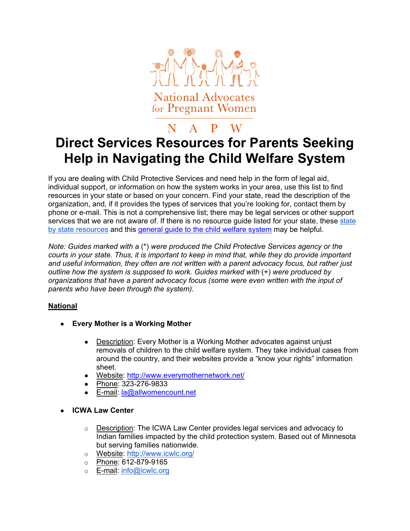

# N A P W **Direct Services Resources for Parents Seeking Help in Navigating the Child Welfare System**

If you are dealing with Child Protective Services and need help in the form of legal aid, individual support, or information on how the system works in your area, use this list to find resources in your state or based on your concern. Find your state, read the description of the organization, and, if it provides the types of services that you're looking for, contact them by phone or e-mail. This is not a comprehensive list; there may be legal services or other support services that we are not aware of. If there is no resource guide listed for your state, these state [by state resources](https://www.americanbar.org/groups/public_interest/child_law/project-areas/parentrepresentation/parent-know-your-rights-resources/) and this [general guide to the child welfare system](https://www.google.com/url?q=http://gucchd.georgetown.edu/products/AFamilysGuide_English.pdf&sa=D&ust=1591971330357000) may be helpful.

*Note: Guides marked with a* (\*) *were produced the Child Protective Services agency or the courts in your state. Thus, it is important to keep in mind that, while they do provide important and useful information, they often are not written with a parent advocacy focus, but rather just outline how the system is supposed to work. Guides marked with* (+) *were produced by organizations that have a parent advocacy focus (some were even written with the input of parents who have been through the system).*

# **National**

- **Every Mother is a Working Mother**
	- Description: Every Mother is a Working Mother advocates against unjust removals of children to the child welfare system. They take individual cases from around the country, and their websites provide a "know your rights" information sheet.
	- Website: <http://www.everymothernetwork.net/>
	- Phone: 323-276-9833
	- E-mail: [la@allwomencount.net](mailto:la@allwomencount.net)

# ● **ICWA Law Center**

- $\circ$  Description: The ICWA Law Center provides legal services and advocacy to Indian families impacted by the child protection system. Based out of Minnesota but serving families nationwide.
- o Website: <http://www.icwlc.org/>
- o Phone: 612-879-9165
- o E-mail: [info@icwlc.org](mailto:info@icwlc.org)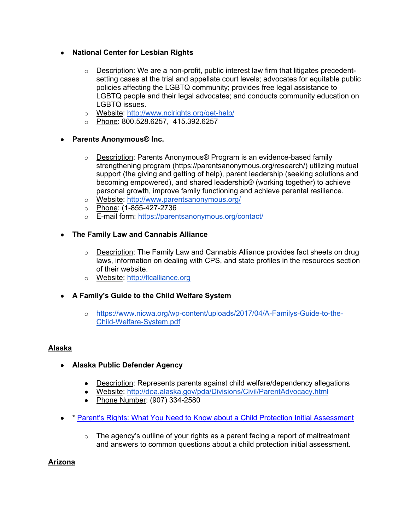- **National Center for Lesbian Rights**
	- $\circ$  Description: We are a non-profit, public interest law firm that litigates precedentsetting cases at the trial and appellate court levels; advocates for equitable public policies affecting the LGBTQ community; provides free legal assistance to LGBTQ people and their legal advocates; and conducts community education on LGBTQ issues.
	- o Website: <http://www.nclrights.org/get-help/>
	- o Phone: 800.528.6257, 415.392.6257
- **Parents Anonymous® Inc.**
	- $\circ$  Description: Parents Anonymous® Program is an evidence-based family strengthening program (https://parentsanonymous.org/research/) utilizing mutual support (the giving and getting of help), parent leadership (seeking solutions and becoming empowered), and shared leadership® (working together) to achieve personal growth, improve family functioning and achieve parental resilience.
	- o Website: <http://www.parentsanonymous.org/>
	- o Phone: (1-855-427-2736
	- o E-mail form: <https://parentsanonymous.org/contact/>
- **The Family Law and Cannabis Alliance**
	- $\circ$  Description: The Family Law and Cannabis Alliance provides fact sheets on drug laws, information on dealing with CPS, and state profiles in the resources section of their website.
	- o Website: [http://flcalliance.org](http://flcalliance.org/)
- **A Family's Guide to the Child Welfare System**
	- o [https://www.nicwa.org/wp-content/uploads/2017/04/A-Familys-Guide-to-the-](https://www.nicwa.org/wp-content/uploads/2017/04/A-Familys-Guide-to-the-Child-Welfare-System.pdf)[Child-Welfare-System.pdf](https://www.nicwa.org/wp-content/uploads/2017/04/A-Familys-Guide-to-the-Child-Welfare-System.pdf)

# **Alaska**

- **Alaska Public Defender Agency**
	- Description: Represents parents against child welfare/dependency allegations
	- Website: <http://doa.alaska.gov/pda/Divisions/Civil/ParentAdvocacy.html>
	- Phone Number: (907) 334-2580
- \* [Parent's Rights: What You Need to Know about a Child Protection Initial Assessment](http://dhss.alaska.gov/ocs/Documents/Publications/pdf/parentsrights.pdf)
	- $\circ$  The agency's outline of your rights as a parent facing a report of maltreatment and answers to common questions about a child protection initial assessment.

# **Arizona**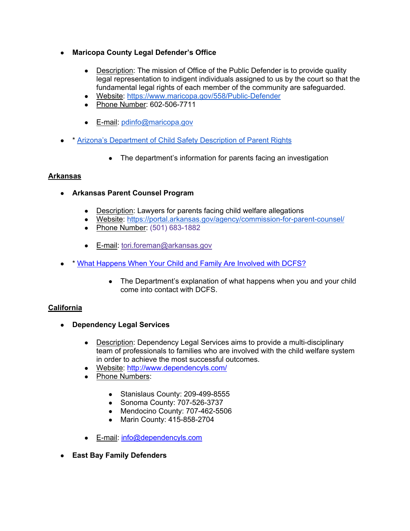- **Maricopa County Legal Defender's Office**
	- Description: The mission of Office of the Public Defender is to provide quality legal representation to indigent individuals assigned to us by the court so that the fundamental legal rights of each member of the community are safeguarded.
	- Website: <https://www.maricopa.gov/558/Public-Defender>
	- Phone Number: 602-506-7711
	- E-mail: [pdinfo@maricopa.gov](mailto:pdinfo@maricopa.gov)
- \* [Arizona's Department of Child Safety Description of Parent Rights](https://dcs.az.gov/your-rights/parents-rights)
	- The department's information for parents facing an investigation

# **Arkansas**

- **Arkansas Parent Counsel Program**
	- Description: Lawyers for parents facing child welfare allegations
	- Website: <https://portal.arkansas.gov/agency/commission-for-parent-counsel/>
	- Phone Number: (501) 683-1882
	- E-mail: tori.foreman@arkansas.gov
- \* [What Happens When Your Child and Family Are Involved with DCFS?](https://humanservices.arkansas.gov/images/uploads/dcfs/publications/PUB-11_when_your_child_is_involved_with_DCFS.pdf)
	- The Department's explanation of what happens when you and your child come into contact with DCFS.

# **California**

- **Dependency Legal Services**
	- Description: Dependency Legal Services aims to provide a multi-disciplinary team of professionals to families who are involved with the child welfare system in order to achieve the most successful outcomes.
	- Website: [http://www.dependencyls.com/](https://www.google.com/url?q=http://www.dependencyls.com/&sa=D&ust=1591971330358000)
	- Phone Numbers:
		- Stanislaus County: 209-499-8555
		- Sonoma County: 707-526-3737
		- Mendocino County: 707-462-5506
		- Marin County: 415-858-2704
	- E-mail: [info@dependencyls.com](mailto:info@dependencyls.com)
- **East Bay Family Defenders**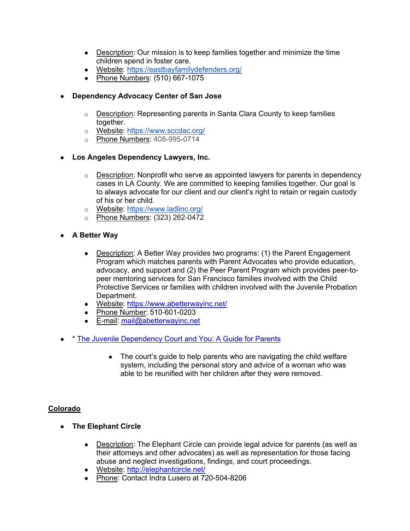- Description: Our mission is to keep families together and minimize the time children spend in foster care.
- Website: <https://eastbayfamilydefenders.org/>
- Phone Numbers: (510) 667-1075
- **Dependency Advocacy Center of San Jose**
	- $\circ$  Description: Representing parents in Santa Clara County to keep families together.
	- o Website: <https://www.sccdac.org/>
	- o Phone Numbers: 408-995-0714
- **Los Angeles Dependency Lawyers, Inc.**
	- $\circ$  Description: Nonprofit who serve as appointed lawyers for parents in dependency cases in LA County. We are committed to keeping families together. Our goal is to always advocate for our client and our client's right to retain or regain custody of his or her child.
	- o Website: [https://www.ladlinc.org/](https://www.ladlinc.org/contact)
	- o Phone Numbers: (323) 262-0472
- **A Better Way**
	- Description: A Better Way provides two programs: (1) the Parent Engagement Program which matches parents with Parent Advocates who provide education, advocacy, and support and (2) the Peer Parent Program which provides peer-topeer mentoring services for San Francisco families involved with the Child Protective Services or families with children involved with the Juvenile Probation Department.
	- Website: [https://www.abetterwayinc.net/](https://www.google.com/url?q=https://www.abetterwayinc.net/&sa=D&ust=1591971330360000)
	- Phone Number: 510-601-0203
	- E-mail: [mail@abetterwayinc.net](mailto:mail@abetterwayinc.net)
- \* [The Juvenile Dependency Court and You: A Guide for Parents](http://cadependencyonlineguide.info/view/articles/12676.pdf)
	- The court's guide to help parents who are navigating the child welfare system, including the personal story and advice of a woman who was able to be reunified with her children after they were removed.

# **Colorado**

- **The Elephant Circle**
	- Description: The Elephant Circle can provide legal advice for parents (as well as their attorneys and other advocates) as well as representation for those facing abuse and neglect investigations, findings, and court proceedings.
	- Website: [http://elephantcircle.net/](https://www.google.com/url?q=http://elephantcircle.net/&sa=D&ust=1591971330362000)
	- Phone: Contact Indra Lusero at 720-504-8206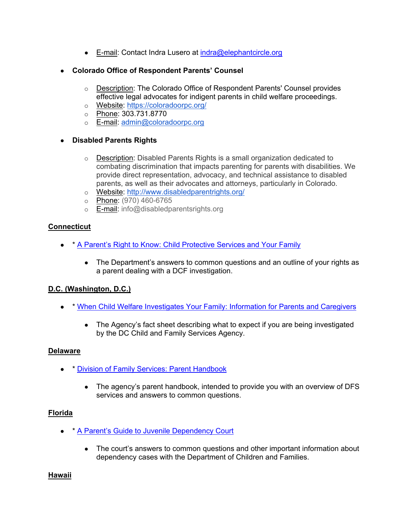- E-mail: Contact Indra Lusero at [indra@elephantcircle.org](mailto:indra@elephantcircle.org)
- **Colorado Office of Respondent Parents' Counsel**
	- $\circ$  Description: The Colorado Office of Respondent Parents' Counsel provides effective legal advocates for indigent parents in child welfare proceedings.
	- o Website: <https://coloradoorpc.org/>
	- o Phone: 303.731.8770
	- o E-mail: [admin@coloradoorpc.org](mailto:admin@coloradoorpc.org)
- **Disabled Parents Rights**
	- o Description: Disabled Parents Rights is a small organization dedicated to combating discrimination that impacts parenting for parents with disabilities. We provide direct representation, advocacy, and technical assistance to disabled parents, as well as their advocates and attorneys, particularly in Colorado.
	- o Website: <http://www.disabledparentrights.org/>
	- o Phone: (970) 460-6765
	- o E-mail: info@disabledparentsrights.org

# **Connecticut**

- \* [A Parent's Right to Know: Child Protective Services and Your Family](https://portal.ct.gov/DCF/Multicultural-Affairs/Parents-Right-to-Know)
	- The Department's answers to common questions and an outline of your rights as a parent dealing with a DCF investigation.

# **D.C. (Washington, D.C.)**

- **\* [When Child Welfare Investigates Your Family: Information for Parents and Caregivers](http://cfsa.dc.gov/sites/default/files/dc/sites/cfsa/publication/attachments/When%2520Child%2520Welfare%2520Investigates%2520Your%2520Family.pdf)** 
	- The Agency's fact sheet describing what to expect if you are being investigated by the DC Child and Family Services Agency.

# **Delaware**

- \* [Division of Family Services: Parent Handbook](http://kids.delaware.gov/pdfs/fs-ParentHandbook-English-2015.pdf)
	- The agency's parent handbook, intended to provide you with an overview of DFS services and answers to common questions.

# **Florida**

- \* [A Parent's Guide to Juvenile Dependency Court](http://www.flcourts.org/core/fileparse.php/260/urlt/dependencybooklet.pdf)
	- The court's answers to common questions and other important information about dependency cases with the Department of Children and Families.

# **Hawaii**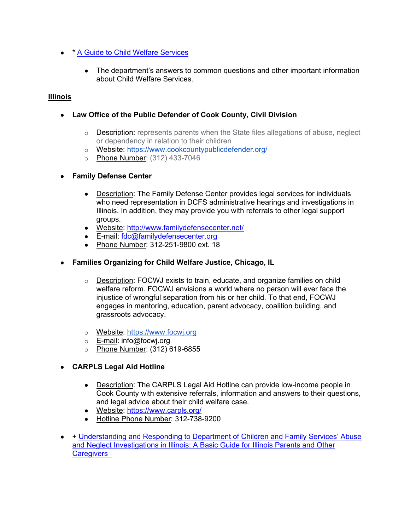- **\*** [A Guide to Child Welfare Services](http://humanservices.hawaii.gov/ssd/files/2015/06/Guide_to_CWS_6-2015.pdf)
	- The department's answers to common questions and other important information about Child Welfare Services.

# **Illinois**

- **Law Office of the Public Defender of Cook County, Civil Division**
	- o Description: represents parents when the State files allegations of abuse, neglect or dependency in relation to their children
	- o Website: <https://www.cookcountypublicdefender.org/>
	- o Phone Number: (312) 433-7046
- **Family Defense Center**
	- Description: The Family Defense Center provides legal services for individuals who need representation in DCFS administrative hearings and investigations in Illinois. In addition, they may provide you with referrals to other legal support groups.
	- Website: [http://www.familydefensecenter.net/](https://www.google.com/url?q=http://www.familydefensecenter.net/&sa=D&ust=1591971330364000)
	- E-mail: [fdc@familydefensecenter.org](mailto:fdc@familydefensecenter.org)
	- Phone Number: 312-251-9800 ext. 18
- **Families Organizing for Child Welfare Justice, Chicago, IL**
	- $\circ$  Description: FOCWJ exists to train, educate, and organize families on child welfare reform. FOCWJ envisions a world where no person will ever face the injustice of wrongful separation from his or her child. To that end, FOCWJ engages in mentoring, education, parent advocacy, coalition building, and grassroots advocacy.
	- o Website: [https://www.focwj.org](https://www.focwj.org/)
	- o E-mail: info@focwj.org
	- o Phone Number: (312) 619-6855
- **CARPLS Legal Aid Hotline**
	- Description: The CARPLS Legal Aid Hotline can provide low-income people in Cook County with extensive referrals, information and answers to their questions, and legal advice about their child welfare case.
	- Website: [https://www.carpls.org/](https://www.google.com/url?q=https://www.carpls.org/&sa=D&ust=1591971330365000)
	- Hotline Phone Number: 312-738-9200
- + [Understanding and Responding to Department of Children and Family Services' Abuse](http://www.familydefensecenter.net/wp-content/uploads/2016/04/Responding-to-Investigations-Manual-FINAL.pdf)  [and Neglect Investigations in Illinois: A Basic Guide for Illinois Parents and Other](http://www.familydefensecenter.net/wp-content/uploads/2016/04/Responding-to-Investigations-Manual-FINAL.pdf)  **Caregivers**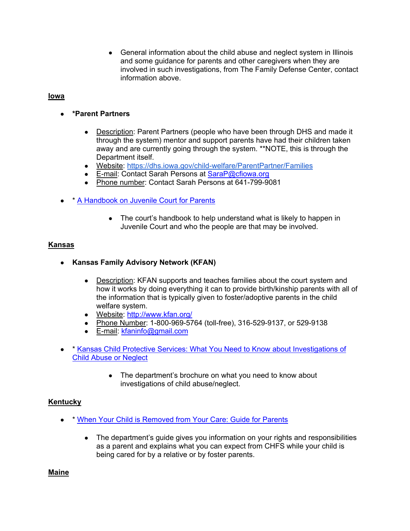• General information about the child abuse and neglect system in Illinois and some guidance for parents and other caregivers when they are involved in such investigations, from The Family Defense Center, contact information above.

# **Iowa**

- **\*Parent Partners**
	- Description: Parent Partners (people who have been through DHS and made it through the system) mentor and support parents have had their children taken away and are currently going through the system. \*\*NOTE, this is through the Department itself.
	- Website: <https://dhs.iowa.gov/child-welfare/ParentPartner/Families>
	- E-mail: Contact Sarah Persons at [SaraP@cfiowa.org](mailto:SaraP@cfiowa.org)
	- Phone number: Contact Sarah Persons at 641-799-9081
- \* [A Handbook on Juvenile Court for Parents](http://www.ifapa.org/pdf_docs/HandbookJuvenileCourt.pdf)
	- The court's handbook to help understand what is likely to happen in Juvenile Court and who the people are that may be involved.

# **Kansas**

- **Kansas Family Advisory Network (KFAN)**
	- Description: KFAN supports and teaches families about the court system and how it works by doing everything it can to provide birth/kinship parents with all of the information that is typically given to foster/adoptive parents in the child welfare system.
	- Website: [http://www.kfan.org/](https://www.google.com/url?q=http://www.kfan.org/&sa=D&ust=1591971330367000)
	- Phone Number: 1-800-969-5764 (toll-free), 316-529-9137, or 529-9138
	- E-mail: [kfaninfo@gmail.com](mailto:kfaninfo@gmail.com)
- \* [Kansas Child Protective Services: What You Need to Know about Investigations of](http://www.dcf.ks.gov/services/PPS/Documents/PPM_Forms/Section_2000_Forms/PPS2010.pdf)  [Child Abuse or Neglect](http://www.dcf.ks.gov/services/PPS/Documents/PPM_Forms/Section_2000_Forms/PPS2010.pdf)
	- The department's brochure on what you need to know about investigations of child abuse/neglect.

# **Kentucky**

- \* [When Your Child is Removed from Your Care: Guide for Parents](https://chfs.ky.gov/agencies/dcbs/dpp/oohc/Documents/ChildRemovalHandbook2.pdf)
	- The department's guide gives you information on your rights and responsibilities as a parent and explains what you can expect from CHFS while your child is being cared for by a relative or by foster parents.

**Maine**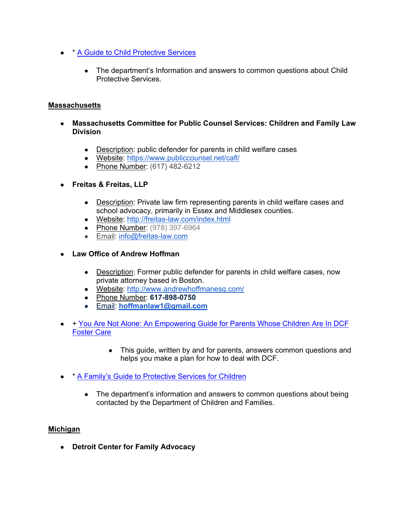- **\*** [A Guide to Child Protective Services](https://www.maine.gov/dhhs/ocfs/cw/handbook.html)
	- The department's Information and answers to common questions about Child Protective Services.

### **Massachusetts**

- **Massachusetts Committee for Public Counsel Services: Children and Family Law Division**
	- Description: public defender for parents in child welfare cases
	- Website: <https://www.publiccounsel.net/cafl/>
	- Phone Number: (617) 482-6212
- **Freitas & Freitas, LLP**
	- Description: Private law firm representing parents in child welfare cases and school advocacy, primarily in Essex and Middlesex counties.
	- Website: <http://freitas-law.com/index.html>
	- Phone Number: (978) 397-6964
	- Email: [info@freitas-law.com](mailto:info@freitas-law.com)
- **Law Office of Andrew Hoffman**
	- Description: Former public defender for parents in child welfare cases, now private attorney based in Boston.
	- Website: <http://www.andrewhoffmanesq.com/>
	- Phone Number: **617-898-0750**
	- Email: **[hoffmanlaw1@gmail.com](mailto:hoffmanlaw1@gmail.com)**
- + You Are Not Alone: An Empowering Guide for Parents Whose Children Are In DCF [Foster Care](http://www.parentshelpingparents.org/#!news/cqna)
	- This guide, written by and for parents, answers common questions and helps you make a plan for how to deal with DCF.
- \* [A Family's Guide to Protective Services for Children](http://www.mass.gov/eohhs/docs/dcf/can-family-guide.pdf)
	- The department's information and answers to common questions about being contacted by the Department of Children and Families.

#### **Michigan**

● **Detroit Center for Family Advocacy**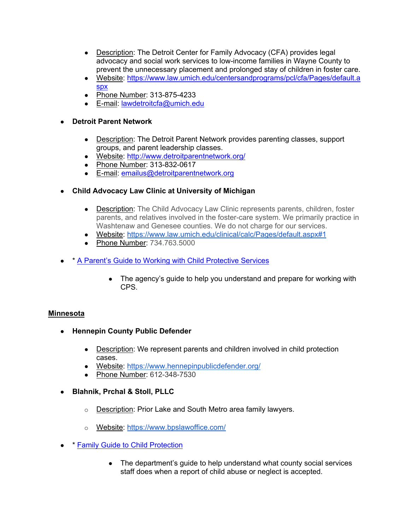- Description: The Detroit Center for Family Advocacy (CFA) provides legal advocacy and social work services to low-income families in Wayne County to prevent the unnecessary placement and prolonged stay of children in foster care.
- Website: [https://www.law.umich.edu/centersandprograms/pcl/cfa/Pages/default.a](https://www.google.com/url?q=https://www.law.umich.edu/centersandprograms/pcl/cfa/Pages/default.aspx&sa=D&ust=1591971330369000) [spx](https://www.google.com/url?q=https://www.law.umich.edu/centersandprograms/pcl/cfa/Pages/default.aspx&sa=D&ust=1591971330369000)
- Phone Number: 313-875-4233
- E-mail: [lawdetroitcfa@umich.edu](mailto:lawdetroitcfa@umich.edu)

# **Detroit Parent Network**

- Description: The Detroit Parent Network provides parenting classes, support groups, and parent leadership classes.
- Website: [http://www.detroitparentnetwork.org/](https://www.google.com/url?q=http://www.detroitparentnetwork.org/&sa=D&ust=1591971330370000)
- Phone Number: 313-832-0617
- E-mail: [emailus@detroitparentnetwork.org](mailto:emailus@detroitparentnetwork.org)
- **Child Advocacy Law Clinic at University of Michigan**
	- Description: The Child Advocacy Law Clinic represents parents, children, foster parents, and relatives involved in the foster-care system. We primarily practice in Washtenaw and Genesee counties. We do not charge for our services.
	- Website: <https://www.law.umich.edu/clinical/calc/Pages/default.aspx#1>
	- Phone Number: 734.763.5000
- \* [A Parent's Guide to Working with Child Protective Services](https://www.michigan.gov/documents/dhs/pub-137_449202_7.pdf)
	- The agency's guide to help you understand and prepare for working with CPS.

# **Minnesota**

- **Hennepin County Public Defender**
	- Description: We represent parents and children involved in child protection cases.
	- Website: <https://www.hennepinpublicdefender.org/>
	- Phone Number: 612-348-7530
- **Blahnik, Prchal & Stoll, PLLC**
	- o Description: Prior Lake and South Metro area family lawyers.
	- o Website: <https://www.bpslawoffice.com/>
- \* [Family Guide to Child Protection](https://edocs.dhs.state.mn.us/lfserver/Public/DHS-3247-ENG)
	- The department's quide to help understand what county social services staff does when a report of child abuse or neglect is accepted.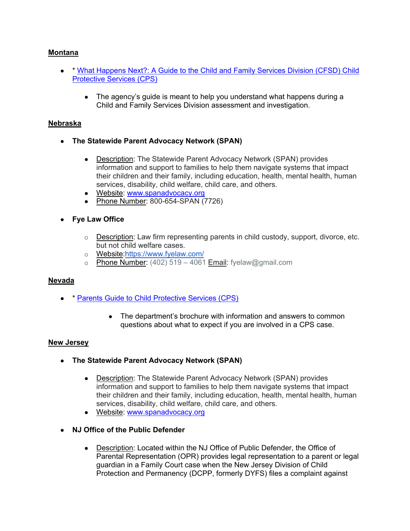# **Montana**

- \* [What Happens Next?: A Guide to the Child and Family Services Division \(CFSD\) Child](https://dojmt.gov/wp-content/uploads/2011/05/whathappensnext.pdf)  [Protective Services \(CPS\)](https://dojmt.gov/wp-content/uploads/2011/05/whathappensnext.pdf)
	- The agency's guide is meant to help you understand what happens during a Child and Family Services Division assessment and investigation.

# **Nebraska**

- **The Statewide Parent Advocacy Network (SPAN)**
	- Description: The Statewide Parent Advocacy Network (SPAN) provides information and support to families to help them navigate systems that impact their children and their family, including education, health, mental health, human services, disability, child welfare, child care, and others.
	- Website: [www.spanadvocacy.org](http://www.spanadvocacy.org/)
	- Phone Number: 800-654-SPAN (7726)
- **Fye Law Office**
	- $\circ$  Description: Law firm representing parents in child custody, support, divorce, etc. but not child welfare cases.
	- o Website:<https://www.fyelaw.com/>
	- o Phone Number: (402) 519 4061 Email: fyelaw@gmail.com

#### **Nevada**

- \* [Parents Guide to Child Protective Services \(CPS\)](http://dcfs.nv.gov/uploadedFiles/dcfsnvgov/content/Tips/Brochures/ParentsGuideToCPSENGLISH.pdf)
	- The department's brochure with information and answers to common questions about what to expect if you are involved in a CPS case.

#### **New Jersey**

- **The Statewide Parent Advocacy Network (SPAN)**
	- Description: The Statewide Parent Advocacy Network (SPAN) provides information and support to families to help them navigate systems that impact their children and their family, including education, health, mental health, human services, disability, child welfare, child care, and others.
	- Website: [www.spanadvocacy.org](http://www.spanadvocacy.org/)
- **NJ Office of the Public Defender**
	- Description: Located within the NJ Office of Public Defender, the Office of Parental Representation (OPR) provides legal representation to a parent or legal guardian in a Family Court case when the New Jersey Division of Child Protection and Permanency (DCPP, formerly DYFS) files a complaint against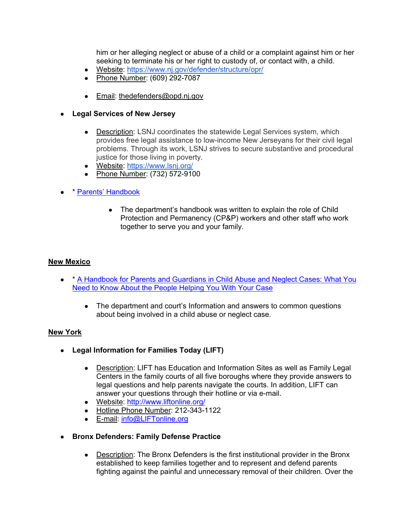him or her alleging neglect or abuse of a child or a complaint against him or her seeking to terminate his or her right to custody of, or contact with, a child.

- Website: <https://www.nj.gov/defender/structure/opr/>
- Phone Number: (609) 292-7087
- Email: thedefenders@opd.nj.gov
- **Legal Services of New Jersey**
	- Description: LSNJ coordinates the statewide Legal Services system, which provides free legal assistance to low-income New Jerseyans for their civil legal problems. Through its work, LSNJ strives to secure substantive and procedural justice for those living in poverty.
	- Website: <https://www.lsnj.org/>
	- Phone Number: (732) 572-9100
- \* [Parents' Handbook](http://www.nj.gov/dcf/families/dcpp/ParentsHandbook_English.pdf)
	- The department's handbook was written to explain the role of Child Protection and Permanency (CP&P) workers and other staff who work together to serve you and your family.

#### **New Mexico**

- <sup>\*</sup> A Handbook for Parents and Guardians in Child Abuse and Neglect Cases: What You [Need to Know About the People Helping You With Your Case](http://www.hunter.cuny.edu/socwork/nrcfcpp/downloads/NM-Handbook_for_Parents_and_Guardians_in_Child_Abuse_and_Neglect_Cases.pdf)
	- The department and court's Information and answers to common questions about being involved in a child abuse or neglect case.

#### **New York**

- **Legal Information for Families Today (LIFT)**
	- Description: LIFT has Education and Information Sites as well as Family Legal Centers in the family courts of all five boroughs where they provide answers to legal questions and help parents navigate the courts. In addition, LIFT can answer your questions through their hotline or via e-mail.
	- Website: [http://www.liftonline.org/](https://www.google.com/url?q=http://www.liftonline.org/&sa=D&ust=1591971330374000)
	- Hotline Phone Number: 212-343-1122
	- E-mail: [info@LIFTonline.org](mailto:info@liftonline.org)
- **Bronx Defenders: Family Defense Practice**
	- Description: The Bronx Defenders is the first institutional provider in the Bronx established to keep families together and to represent and defend parents fighting against the painful and unnecessary removal of their children. Over the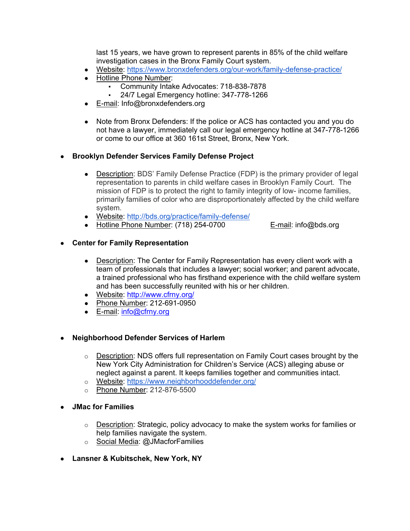last 15 years, we have grown to represent parents in 85% of the child welfare investigation cases in the Bronx Family Court system.

- Website: <https://www.bronxdefenders.org/our-work/family-defense-practice/>
- Hotline Phone Number:
	- Community Intake Advocates: 718-838-7878
		- 24/7 Legal Emergency hotline: 347-778-1266
- E-mail: Info@bronxdefenders.org
- Note from Bronx Defenders: If the police or ACS has contacted you and you do not have a lawyer, immediately call our legal emergency hotline at 347-778-1266 or come to our office at 360 161st Street, Bronx, New York.

# ● **Brooklyn Defender Services Family Defense Project**

- Description: BDS' Family Defense Practice (FDP) is the primary provider of legal representation to parents in child welfare cases in Brooklyn Family Court. The mission of FDP is to protect the right to family integrity of low- income families, primarily families of color who are disproportionately affected by the child welfare system.
- Website: <http://bds.org/practice/family-defense/>
- Hotline Phone Number: (718) 254-0700 E-mail: info@bds.org

# ● **Center for Family Representation**

- Description: The Center for Family Representation has every client work with a team of professionals that includes a lawyer; social worker; and parent advocate, a trained professional who has firsthand experience with the child welfare system and has been successfully reunited with his or her children.
- Website: [http://www.cfrny.org/](https://www.google.com/url?q=http://www.cfrny.org/&sa=D&ust=1591971330375000)
- Phone Number: 212-691-0950
- E-mail: [info@cfrny.org](mailto:info@cfrny.org)

# ● **Neighborhood Defender Services of Harlem**

- $\circ$  Description: NDS offers full representation on Family Court cases brought by the New York City Administration for Children's Service (ACS) alleging abuse or neglect against a parent. It keeps families together and communities intact.
- o Website: <https://www.neighborhooddefender.org/>
- o Phone Number: 212-876-5500
- **JMac for Families**
	- $\circ$  Description: Strategic, policy advocacy to make the system works for families or help families navigate the system.
	- o Social Media: @JMacforFamilies
- **Lansner & Kubitschek, New York, NY**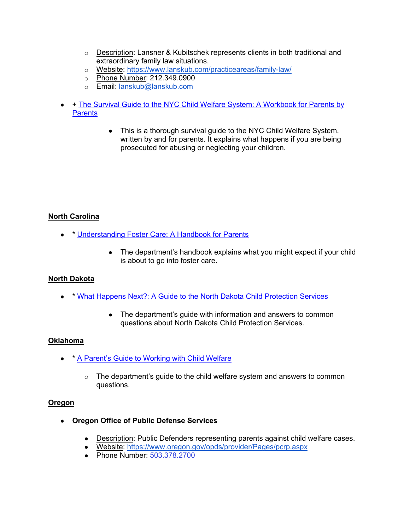- $\circ$  Description: Lansner & Kubitschek represents clients in both traditional and extraordinary family law situations.
- o Website: <https://www.lanskub.com/practiceareas/family-law/>
- o Phone Number: 212.349.0900
- o Email: [lanskub@lanskub.com](mailto:lanskub@lanskub.com)
- + The Survival Guide to the NYC Child Welfare System: A Workbook for Parents by **[Parents](http://nebula.wsimg.com/7a12c89ef470644dfe0a26ed1f0a6007?AccessKeyId=5A53885C93D49755D421&disposition=0&alloworigin=1)** 
	- This is a thorough survival guide to the NYC Child Welfare System, written by and for parents. It explains what happens if you are being prosecuted for abusing or neglecting your children.

# **North Carolina**

- \* [Understanding Foster Care: A Handbook for Parents](https://policies.ncdhhs.gov/divisional/social-services/forms/dss-5201-understanding-foster-care-a-handbook-for-parents)
	- The department's handbook explains what you might expect if your child is about to go into foster care.

# **North Dakota**

- \* [What Happens Next?: A Guide to the North Dakota Child Protection Services](https://www.nd.gov/dhs/info/pubs/docs/cfs/broch-what-happen-next.pdf)
	- The department's guide with information and answers to common questions about North Dakota Child Protection Services.

# **Oklahoma**

- \* [A Parent's Guide to Working with Child Welfare](http://www.okdhs.org/OKDHS%20Publication%20Library/99-27.pdf#search=a%20parent)
	- $\circ$  The department's guide to the child welfare system and answers to common questions.

#### **Oregon**

- **Oregon Office of Public Defense Services**
	- Description: Public Defenders representing parents against child welfare cases.
	- Website: <https://www.oregon.gov/opds/provider/Pages/pcrp.aspx>
	- Phone Number: 503.378.2700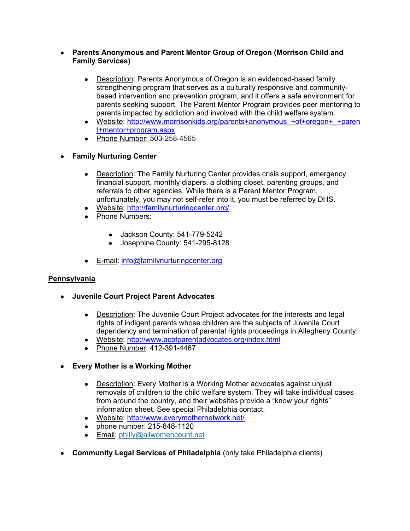- **Parents Anonymous and Parent Mentor Group of Oregon (Morrison Child and Family Services)**
	- Description: Parents Anonymous of Oregon is an evidenced-based family strengthening program that serves as a culturally responsive and communitybased intervention and prevention program, and it offers a safe environment for parents seeking support. The Parent Mentor Program provides peer mentoring to parents impacted by addiction and involved with the child welfare system.
	- Website: [http://www.morrisonkids.org/parents+anonymous\\_+of+oregon+\\_+paren](https://www.google.com/url?q=http://www.morrisonkids.org/parents+anonymous_+of+oregon+_+parent+mentor+program.aspx&sa=D&ust=1591971330376000) [t+mentor+program.aspx](https://www.google.com/url?q=http://www.morrisonkids.org/parents+anonymous_+of+oregon+_+parent+mentor+program.aspx&sa=D&ust=1591971330376000)
	- Phone Number: 503-258-4565
- **Family Nurturing Center**
	- Description: The Family Nurturing Center provides crisis support, emergency financial support, monthly diapers, a clothing closet, parenting groups, and referrals to other agencies. While there is a Parent Mentor Program, unfortunately, you may not self-refer into it, you must be referred by DHS.
	- Website: [http://familynurturingcenter.org/](https://www.google.com/url?q=http://familynurturingcenter.org/&sa=D&ust=1591971330377000)
	- Phone Numbers:
		- Jackson County: 541-779-5242
		- Josephine County: 541-295-8128
	- E-mail: [info@familynurturingcenter.org](mailto:info@familynurturingcenter.org)

# **Pennsylvania**

- **Juvenile Court Project Parent Advocates**
	- Description: The Juvenile Court Project advocates for the interests and legal rights of indigent parents whose children are the subjects of Juvenile Court dependency and termination of parental rights proceedings in Allegheny County.
	- Website: [http://www.acbfparentadvocates.org/index.html](https://www.google.com/url?q=http://www.acbfparentadvocates.org/index.html&sa=D&ust=1591971330378000)
	- Phone Number: 412-391-4467
- **Every Mother is a Working Mother**
	- Description: Every Mother is a Working Mother advocates against unjust removals of children to the child welfare system. They will take individual cases from around the country, and their websites provide a "know your rights" information sheet. See special Philadelphia contact.
	- Website: [http://www.everymothernetwork.net/](https://www.google.com/url?q=http://www.everymothernetwork.net/&sa=D&ust=1591971330379000)
	- phone number: 215-848-1120
	- Email: philly@allwomencount.net
- **Community Legal Services of Philadelphia** (only take Philadelphia clients)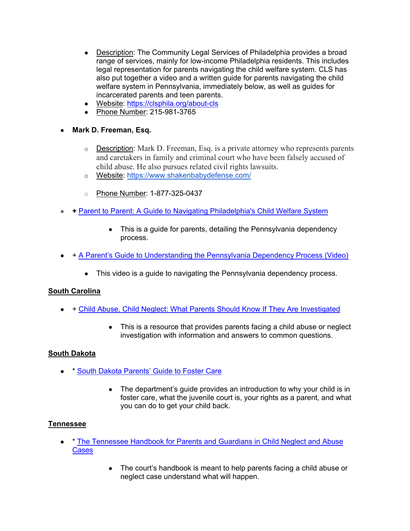- Description: The Community Legal Services of Philadelphia provides a broad range of services, mainly for low-income Philadelphia residents. This includes legal representation for parents navigating the child welfare system. CLS has also put together a video and a written guide for parents navigating the child welfare system in Pennsylvania, immediately below, as well as guides for incarcerated parents and teen parents.
- Website: [https://clsphila.org/about-cls](https://www.google.com/url?q=https://clsphila.org/about-cls&sa=D&ust=1591971330379000)
- Phone Number: 215-981-3765
- **Mark D. Freeman, Esq.**
	- $\circ$  Description: Mark D. Freeman, Esq. is a private attorney who represents parents and caretakers in family and criminal court who have been falsely accused of child abuse. He also pursues related civil rights lawsuits.
	- o Website: [https://www.shakenbabydefense.com/](https://www.shakenbabydefense.com/about)
	- o Phone Number: 1-877-325-0437
- **+** [Parent to Parent: A Guide to Navigating Philadelphia's Child Welfare System](https://clsphila.org/family/navigating-philadelphias-child-welfare-system/)
	- This is a guide for parents, detailing the Pennsylvania dependency process.
- + [A Parent's Guide to Understanding the Pennsylvania Dependency Process \(Video\)](https://clsphila.org/services/dhs-cases-parents-only/)
	- This video is a guide to navigating the Pennsylvania dependency process.

# **South Carolina**

- + [Child Abuse, Child Neglect: What Parents Should Know If They Are Investigated](http://scjustice.org/wp-content/uploads/2013/05/child-abuse-child-neglect-july-2010.pdf)
	- This is a resource that provides parents facing a child abuse or neglect investigation with information and answers to common questions.

# **South Dakota**

- <sup>\*</sup> [South Dakota Parents' Guide to Foster Care](https://dss.sd.gov/formsandpubs/docs/ADOPFOSTER/WhatIShouldKnowAboutFosterCare.pdf)
	- The department's guide provides an introduction to why your child is in foster care, what the juvenile court is, your rights as a parent, and what you can do to get your child back.

# **Tennessee**

- <sup>\*</sup> The Tennessee Handbook for Parents and Guardians in Child Neglect and Abuse **[Cases](http://www.tncourts.gov/sites/default/files/docs/parents_handbook_-_child_abuse__neglect.pdf)** 
	- The court's handbook is meant to help parents facing a child abuse or neglect case understand what will happen.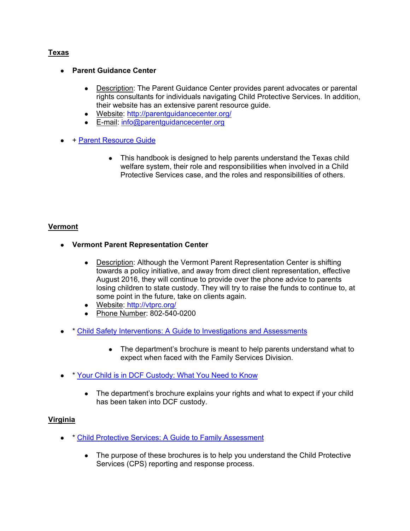# **Texas**

# ● **Parent Guidance Center**

- Description: The Parent Guidance Center provides parent advocates or parental rights consultants for individuals navigating Child Protective Services. In addition, their website has an extensive parent resource guide.
- Website: [http://parentguidancecenter.org/](https://www.google.com/url?q=http://parentguidancecenter.org/n&sa=D&ust=1591971330380000)
- E-mail: [info@parentguidancecenter.org](mailto:info@parentguidancecenter.org)
- + [Parent Resource Guide](http://parentresourceguide.texaschildrenscommission.gov/pdf/Child%20Protective%20Services%20Parent%20Resource%20Guide%202015.pdf)
	- This handbook is designed to help parents understand the Texas child welfare system, their role and responsibilities when involved in a Child Protective Services case, and the roles and responsibilities of others.

# **Vermont**

- **Vermont Parent Representation Center**
	- Description: Although the Vermont Parent Representation Center is shifting towards a policy initiative, and away from direct client representation, effective August 2016, they will continue to provide over the phone advice to parents losing children to state custody. They will try to raise the funds to continue to, at some point in the future, take on clients again.
	- Website: [http://vtprc.org/](https://www.google.com/url?q=http://www.washingtonstatepac.org/&sa=D&ust=1591971330381000)
	- Phone Number: 802-540-0200
- \* [Child Safety Interventions: A Guide to Investigations and Assessments](http://dcf.vermont.gov/sites/dcf/files/FSD/pubs/CSI-Guide.pdf)
	- The department's brochure is meant to help parents understand what to expect when faced with the Family Services Division.
- \* [Your Child is in DCF Custody: What You Need to Know](http://dcf.vermont.gov/sites/dcf/files/FSD/pubs/Custodial-Parent-Brochure.pdf)
	- The department's brochure explains your rights and what to expect if your child has been taken into DCF custody.

# **Virginia**

- \* [Child Protective Services: A Guide to Family Assessment](https://www.dss.virginia.gov/family/cps/publications.cgi)
	- The purpose of these brochures is to help you understand the Child Protective Services (CPS) reporting and response process.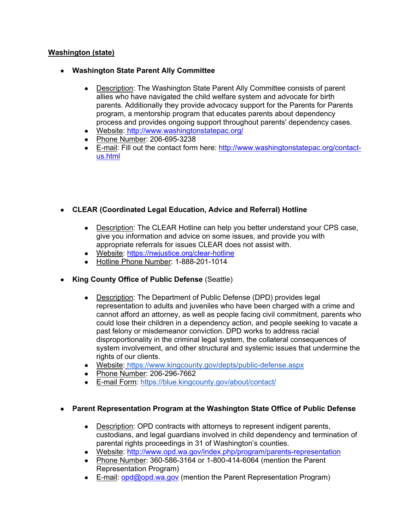# **Washington (state)**

- **Washington State Parent Ally Committee**
	- Description: The Washington State Parent Ally Committee consists of parent allies who have navigated the child welfare system and advocate for birth parents. Additionally they provide advocacy support for the Parents for Parents program, a mentorship program that educates parents about dependency process and provides ongoing support throughout parents' dependency cases.
	- Website: [http://www.washingtonstatepac.org/](https://www.google.com/url?q=http://www.washingtonstatepac.org/&sa=D&ust=1591971330382000)
	- Phone Number: 206-695-3238
	- E-mail: Fill out the contact form here: [http://www.washingtonstatepac.org/contact](https://www.google.com/url?q=http://www.washingtonstatepac.org/contact-us.html&sa=D&ust=1591971330382000)[us.html](https://www.google.com/url?q=http://www.washingtonstatepac.org/contact-us.html&sa=D&ust=1591971330382000)
- **CLEAR (Coordinated Legal Education, Advice and Referral) Hotline**
	- Description: The CLEAR Hotline can help you better understand your CPS case, give you information and advice on some issues, and provide you with appropriate referrals for issues CLEAR does not assist with.
	- Website: <https://nwjustice.org/clear-hotline>
	- Hotline Phone Number: 1-888-201-1014
- **King County Office of Public Defense** (Seattle)
	- Description: The Department of Public Defense (DPD) provides legal representation to adults and juveniles who have been charged with a crime and cannot afford an attorney, as well as people facing civil commitment, parents who could lose their children in a dependency action, and people seeking to vacate a past felony or misdemeanor conviction. DPD works to address racial disproportionality in the criminal legal system, the collateral consequences of system involvement, and other structural and systemic issues that undermine the rights of our clients.
	- Website: <https://www.kingcounty.gov/depts/public-defense.aspx>
	- Phone Number: 206-296-7662
	- E-mail Form: <https://blue.kingcounty.gov/about/contact/>

# ● **Parent Representation Program at the Washington State Office of Public Defense**

- Description: OPD contracts with attorneys to represent indigent parents, custodians, and legal guardians involved in child dependency and termination of parental rights proceedings in 31 of Washington's counties.
- Website: [http://www.opd.wa.gov/index.php/program/parents-representation](https://www.google.com/url?q=http://www.opd.wa.gov/index.php/program/parents-representation&sa=D&ust=1591971330382000)
- Phone Number: 360-586-3164 or 1-800-414-6064 (mention the Parent Representation Program)
- **•** E-mail:  $\text{opd}(\mathcal{Q})$  opd.wa.gov (mention the Parent Representation Program)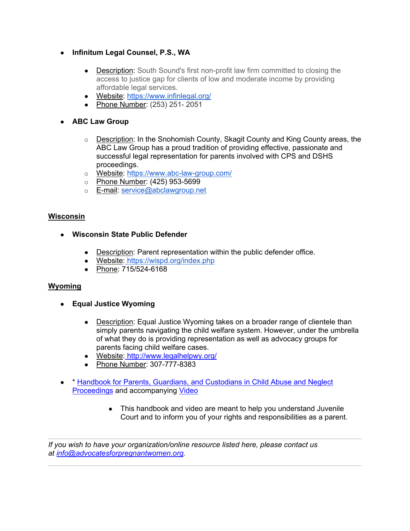- **Infinitum Legal Counsel, P.S., WA**
	- Description: South Sound's first non-profit law firm committed to closing the access to justice gap for clients of low and moderate income by providing affordable legal services.
	- Website: <https://www.infinlegal.org/>
	- Phone Number: (253) 251- 2051

# ● **ABC Law Group**

- $\circ$  Description: In the Snohomish County, Skagit County and King County areas, the ABC Law Group has a proud tradition of providing effective, passionate and successful legal representation for parents involved with CPS and DSHS proceedings.
- o Website: <https://www.abc-law-group.com/>
- o Phone Number: (425) 953-5699
- o E-mail: [service@abclawgroup.net](mailto:service@abclawgroup.net)

#### **Wisconsin**

- **Wisconsin State Public Defender**
	- Description: Parent representation within the public defender office.
	- Website: <https://wispd.org/index.php>
	- Phone: 715/524-6168

# **Wyoming**

- **Equal Justice Wyoming**
	- Description: Equal Justice Wyoming takes on a broader range of clientele than simply parents navigating the child welfare system. However, under the umbrella of what they do is providing representation as well as advocacy groups for parents facing child welfare cases.
	- Website: [http://www.legalhelpwy.org/](https://www.google.com/url?q=http://www.washingtonstatepac.org/&sa=D&ust=1591971330384000)
	- Phone Number: 307-777-8383
- <sup>\*</sup> Handbook for Parents, Guardians, and Custodians in Child Abuse and Neglect [Proceedings](http://www.courts.state.wy.us/wp-content/uploads/2017/03/Handbook_for_Parents_Guardians_and_Custodians.pdf) and accompanying [Video](https://www.youtube.com/watch?v=UtLpGK0GMRM&)
	- This handbook and video are meant to help you understand Juvenile Court and to inform you of your rights and responsibilities as a parent.

*If you wish to have your organization/online resource listed here, please contact us at [info@advocatesforpregnantwomen.org.](mailto:info@advocatesforpregnantwomen.org)*